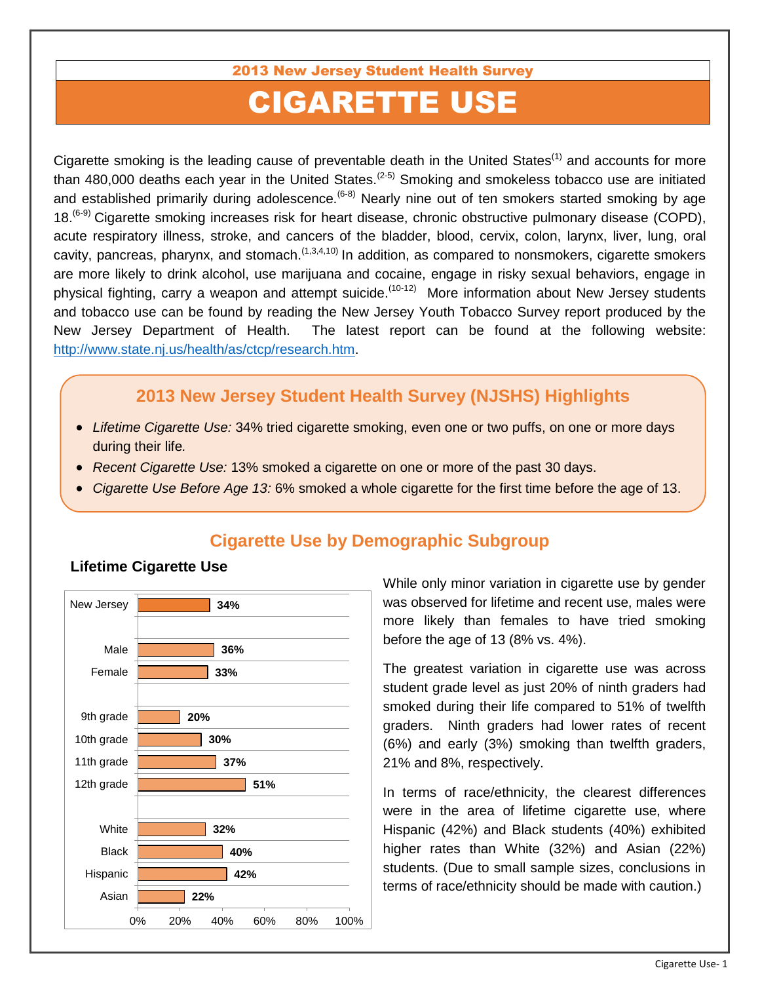#### 2013 New Jersey Student Health Survey

# CIGARETTE USE

Cigarette smoking is the leading cause of preventable death in the United States<sup>(1)</sup> and accounts for more than 480,000 deaths each year in the United States.<sup>(2-5)</sup> Smoking and smokeless tobacco use are initiated and established primarily during adolescence.  $(6-8)$  Nearly nine out of ten smokers started smoking by age 18.<sup>(6-9)</sup> Cigarette smoking increases risk for heart disease, chronic obstructive pulmonary disease (COPD), acute respiratory illness, stroke, and cancers of the bladder, blood, cervix, colon, larynx, liver, lung, oral cavity, pancreas, pharynx, and stomach.  $(1,3,4,10)$  In addition, as compared to nonsmokers, cigarette smokers are more likely to drink alcohol, use marijuana and cocaine, engage in risky sexual behaviors, engage in physical fighting, carry a weapon and attempt suicide.<sup>(10-12)</sup> More information about New Jersey students and tobacco use can be found by reading the New Jersey Youth Tobacco Survey report produced by the New Jersey Department of Health. The latest report can be found at the following website: [http://www.state.nj.us/health/as/ctcp/research.htm.](http://www.state.nj.us/health/as/ctcp/research.htm)

## **2013 New Jersey Student Health Survey (NJSHS) Highlights**

- *Lifetime Cigarette Use:* 34% tried cigarette smoking, even one or two puffs, on one or more days during their life*.*
- *Recent Cigarette Use:* 13% smoked a cigarette on one or more of the past 30 days.
- *Cigarette Use Before Age 13:* 6% smoked a whole cigarette for the first time before the age of 13.



# **Cigarette Use by Demographic Subgroup**

While only minor variation in cigarette use by gender was observed for lifetime and recent use, males were more likely than females to have tried smoking before the age of 13 (8% vs. 4%).

The greatest variation in cigarette use was across student grade level as just 20% of ninth graders had smoked during their life compared to 51% of twelfth graders. Ninth graders had lower rates of recent (6%) and early (3%) smoking than twelfth graders, 21% and 8%, respectively.

In terms of race/ethnicity, the clearest differences were in the area of lifetime cigarette use, where Hispanic (42%) and Black students (40%) exhibited higher rates than White (32%) and Asian (22%) students. (Due to small sample sizes, conclusions in terms of race/ethnicity should be made with caution.)

#### Cigarette Use- 1